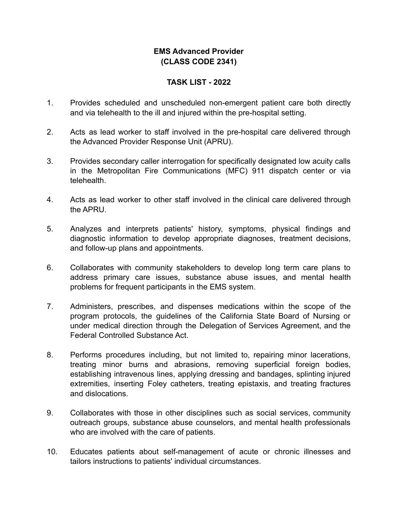## **EMS Advanced Provider (CLASS CODE 2341)**

## **TASK LIST - 2022**

- 1. Provides scheduled and unscheduled non-emergent patient care both directly and via telehealth to the ill and injured within the pre-hospital setting.
- 2. Acts as lead worker to staff involved in the pre-hospital care delivered through the Advanced Provider Response Unit (APRU).
- 3. Provides secondary caller interrogation for specifically designated low acuity calls in the Metropolitan Fire Communications (MFC) 911 dispatch center or via telehealth.
- 4. Acts as lead worker to other staff involved in the clinical care delivered through the APRU.
- 5. Analyzes and interprets patients' history, symptoms, physical findings and diagnostic information to develop appropriate diagnoses, treatment decisions, and follow-up plans and appointments.
- 6. Collaborates with community stakeholders to develop long term care plans to address primary care issues, substance abuse issues, and mental health problems for frequent participants in the EMS system.
- 7. Administers, prescribes, and dispenses medications within the scope of the program protocols, the guidelines of the California State Board of Nursing or under medical direction through the Delegation of Services Agreement, and the Federal Controlled Substance Act.
- 8. Performs procedures including, but not limited to, repairing minor lacerations, treating minor burns and abrasions, removing superficial foreign bodies, establishing intravenous lines, applying dressing and bandages, splinting injured extremities, inserting Foley catheters, treating epistaxis, and treating fractures and dislocations.
- 9. Collaborates with those in other disciplines such as social services, community outreach groups, substance abuse counselors, and mental health professionals who are involved with the care of patients.
- 10. Educates patients about self-management of acute or chronic illnesses and tailors instructions to patients' individual circumstances.